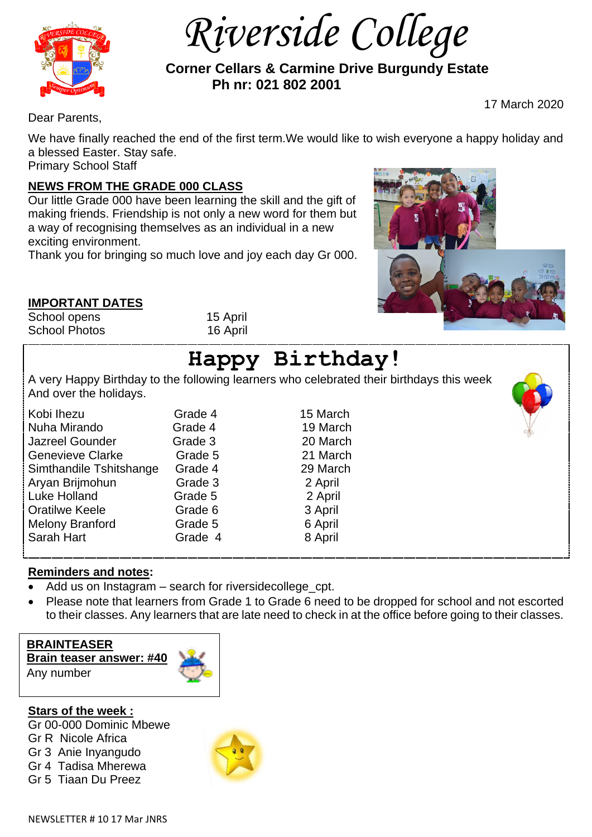

 *Riverside College*

 **Corner Cellars & Carmine Drive Burgundy Estate Ph nr: 021 802 2001**

17 March 2020

Dear Parents,

We have finally reached the end of the first term. We would like to wish everyone a happy holiday and a blessed Easter. Stay safe.

Primary School Staff

## **NEWS FROM THE GRADE 000 CLASS**

Our little Grade 000 have been learning the skill and the gift of making friends. Friendship is not only a new word for them but a way of recognising themselves as an individual in a new exciting environment.

Thank you for bringing so much love and joy each day Gr 000.

## **IMPORTANT DATES**

School opens 15 April School Photos 16 April

# **Happy Birthday!**

A very Happy Birthday to the following learners who celebrated their birthdays this week And over the holidays.

Kobi Ihezu Grade 4 15 March Nuha Mirando Grade 4 19 March Jazreel Gounder Grade 3 20 March Genevieve Clarke Grade 5 21 March Simthandile Tshitshange Grade 4 29 March Aryan Brijmohun Grade 3 2 April Luke Holland Grade 5 2 April Oratilwe Keele **Grade 6** 3 April Melony Branford Grade 5 6 April Sarah Hart **Grade 4** 8 April

## **Reminders and notes:**

- Add us on Instagram search for riversidecollege\_cpt.
- Please note that learners from Grade 1 to Grade 6 need to be dropped for school and not escorted to their classes. Any learners that are late need to check in at the office before going to their classes.



**Stars of the week :** Gr 00-000 Dominic Mbewe Gr R Nicole Africa Gr 3 Anie Inyangudo Gr 4 Tadisa Mherewa Gr 5 Tiaan Du Preez